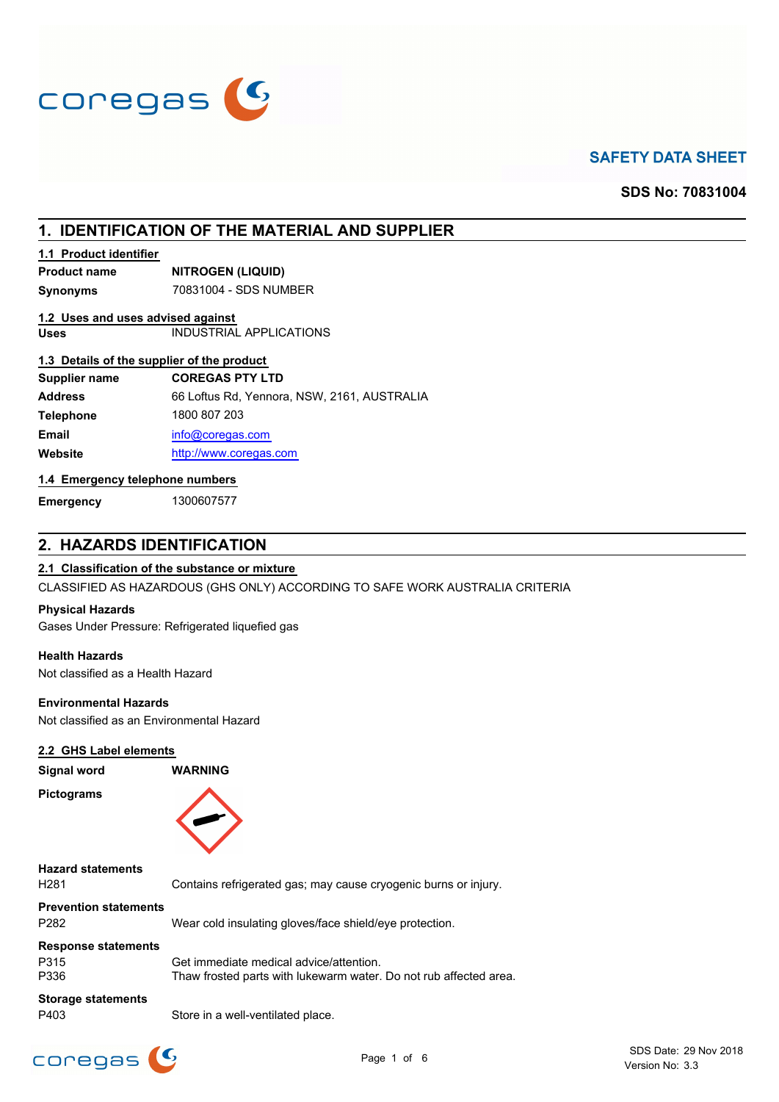

# **SAFETY DATA SHEET**

**SDS No: 70831004**

# **1. IDENTIFICATION OF THE MATERIAL AND SUPPLIER**

### **1.1 Product identifier**

**Product name NITROGEN (LIQUID)**

**Synonyms** 70831004 - SDS NUMBER

### **1.2 Uses and uses advised against**

**Uses** INDUSTRIAL APPLICATIONS

## **1.3 Details of the supplier of the product**

| <b>Supplier name</b> | <b>COREGAS PTY LTD</b>                      |
|----------------------|---------------------------------------------|
| <b>Address</b>       | 66 Loftus Rd, Yennora, NSW, 2161, AUSTRALIA |
| <b>Telephone</b>     | 1800 807 203                                |
| <b>Email</b>         | info@coregas.com                            |
| Website              | http://www.coregas.com                      |

## **1.4 Emergency telephone numbers**

**Emergency** 1300607577

## **2. HAZARDS IDENTIFICATION**

## **2.1 Classification of the substance or mixture**

CLASSIFIED AS HAZARDOUS (GHS ONLY) ACCORDING TO SAFE WORK AUSTRALIA CRITERIA

#### **Physical Hazards**

Gases Under Pressure: Refrigerated liquefied gas

### **Health Hazards**

Not classified as a Health Hazard

#### **Environmental Hazards**

Not classified as an Environmental Hazard

### **2.2 GHS Label elements**

| Signal word                                      | <b>WARNING</b>                                                  |
|--------------------------------------------------|-----------------------------------------------------------------|
| <b>Pictograms</b>                                |                                                                 |
| <b>Hazard statements</b><br>H <sub>281</sub>     | Contains refrigerated gas; may cause cryogenic burns or injury. |
| <b>Prevention statements</b><br>P <sub>282</sub> | Wear cold insulating gloves/face shield/eye protection.         |
| <b>Response statements</b>                       |                                                                 |

P315 Get immediate medical advice/attention. P336 Thaw frosted parts with lukewarm water. Do not rub affected area.

# **Storage statements**

P403 Store in a well-ventilated place.

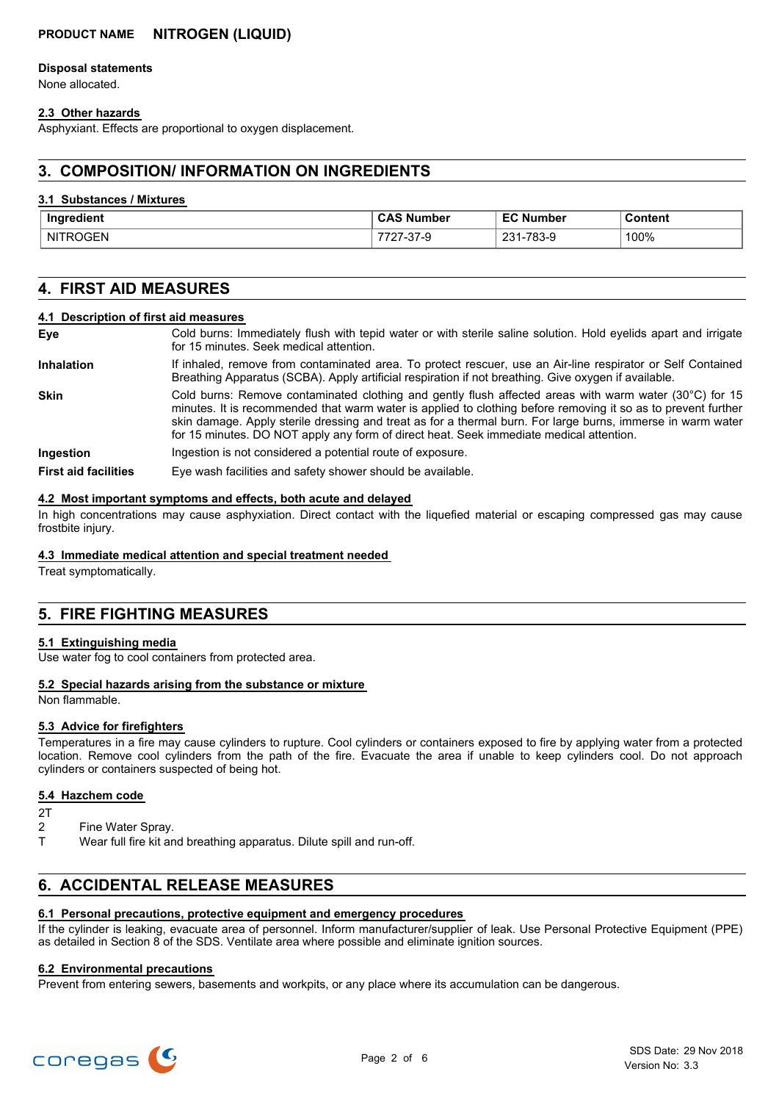## **PRODUCT NAME NITROGEN (LIQUID)**

#### **Disposal statements**

None allocated.

### **2.3 Other hazards**

Asphyxiant. Effects are proportional to oxygen displacement.

## **3. COMPOSITION/ INFORMATION ON INGREDIENTS**

#### **3.1 Substances / Mixtures**

| Ingredient               | Number    | umber                        | Content |
|--------------------------|-----------|------------------------------|---------|
|                          | しハこ       |                              | .       |
| $ -$<br>NI.<br>JGEN<br>⊷ | / −১ / −৬ | 702<br>024<br>1-103-9<br>ں 2 | 100%    |

## **4. FIRST AID MEASURES**

#### **4.1 Description of first aid measures**

| Eye                         | Cold burns: Immediately flush with tepid water or with sterile saline solution. Hold eyelids apart and irrigate<br>for 15 minutes. Seek medical attention.                                                                                                                                                                                                                                                                                   |
|-----------------------------|----------------------------------------------------------------------------------------------------------------------------------------------------------------------------------------------------------------------------------------------------------------------------------------------------------------------------------------------------------------------------------------------------------------------------------------------|
| <b>Inhalation</b>           | If inhaled, remove from contaminated area. To protect rescuer, use an Air-line respirator or Self Contained<br>Breathing Apparatus (SCBA). Apply artificial respiration if not breathing. Give oxygen if available.                                                                                                                                                                                                                          |
| <b>Skin</b>                 | Cold burns: Remove contaminated clothing and gently flush affected areas with warm water (30 $^{\circ}$ C) for 15<br>minutes. It is recommended that warm water is applied to clothing before removing it so as to prevent further<br>skin damage. Apply sterile dressing and treat as for a thermal burn. For large burns, immerse in warm water<br>for 15 minutes. DO NOT apply any form of direct heat. Seek immediate medical attention. |
| Ingestion                   | Ingestion is not considered a potential route of exposure.                                                                                                                                                                                                                                                                                                                                                                                   |
| <b>First aid facilities</b> | Eye wash facilities and safety shower should be available.                                                                                                                                                                                                                                                                                                                                                                                   |

#### **4.2 Most important symptoms and effects, both acute and delayed**

In high concentrations may cause asphyxiation. Direct contact with the liquefied material or escaping compressed gas may cause frostbite injury.

### **4.3 Immediate medical attention and special treatment needed**

Treat symptomatically.

## **5. FIRE FIGHTING MEASURES**

### **5.1 Extinguishing media**

Use water fog to cool containers from protected area.

### **5.2 Special hazards arising from the substance or mixture**

Non flammable.

### **5.3 Advice for firefighters**

Temperatures in a fire may cause cylinders to rupture. Cool cylinders or containers exposed to fire by applying water from a protected location. Remove cool cylinders from the path of the fire. Evacuate the area if unable to keep cylinders cool. Do not approach cylinders or containers suspected of being hot.

#### **5.4 Hazchem code**

- $2T$
- 2 Fine Water Spray.
- T Wear full fire kit and breathing apparatus. Dilute spill and run-off.

## **6. ACCIDENTAL RELEASE MEASURES**

#### **6.1 Personal precautions, protective equipment and emergency procedures**

If the cylinder is leaking, evacuate area of personnel. Inform manufacturer/supplier of leak. Use Personal Protective Equipment (PPE) as detailed in Section 8 of the SDS. Ventilate area where possible and eliminate ignition sources.

#### **6.2 Environmental precautions**

Prevent from entering sewers, basements and workpits, or any place where its accumulation can be dangerous.

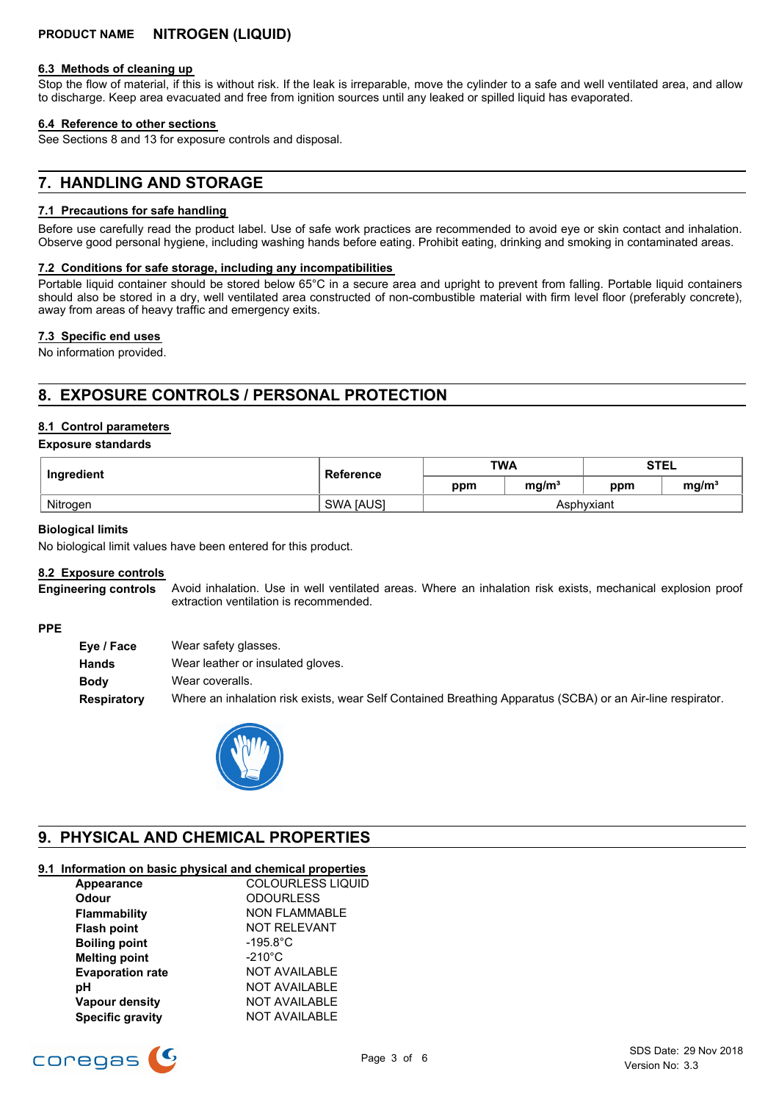#### **6.3 Methods of cleaning up**

Stop the flow of material, if this is without risk. If the leak is irreparable, move the cylinder to a safe and well ventilated area, and allow to discharge. Keep area evacuated and free from ignition sources until any leaked or spilled liquid has evaporated.

#### **6.4 Reference to other sections**

See Sections 8 and 13 for exposure controls and disposal.

## **7. HANDLING AND STORAGE**

### **7.1 Precautions for safe handling**

Before use carefully read the product label. Use of safe work practices are recommended to avoid eye or skin contact and inhalation. Observe good personal hygiene, including washing hands before eating. Prohibit eating, drinking and smoking in contaminated areas.

#### **7.2 Conditions for safe storage, including any incompatibilities**

Portable liquid container should be stored below 65°C in a secure area and upright to prevent from falling. Portable liquid containers should also be stored in a dry, well ventilated area constructed of non-combustible material with firm level floor (preferably concrete), away from areas of heavy traffic and emergency exits.

#### **7.3 Specific end uses**

No information provided.

# **8. EXPOSURE CONTROLS / PERSONAL PROTECTION**

### **8.1 Control parameters**

#### **Exposure standards**

| Ingredient | <b>Reference</b> | <b>TWA</b> |                   | <b>STEL</b> |                   |
|------------|------------------|------------|-------------------|-------------|-------------------|
|            |                  | ppm        | mq/m <sup>3</sup> | ppm         | mg/m <sup>3</sup> |
| Nitrogen   | <b>SWA JAUSI</b> | Asphvxiant |                   |             |                   |

#### **Biological limits**

No biological limit values have been entered for this product.

#### **8.2 Exposure controls**

Avoid inhalation. Use in well ventilated areas. Where an inhalation risk exists, mechanical explosion proof extraction ventilation is recommended. **Engineering controls**

#### **PPE**

| Wear safety glasses.                                                                                       |
|------------------------------------------------------------------------------------------------------------|
| Wear leather or insulated gloves.                                                                          |
| Wear coveralls.                                                                                            |
| Where an inhalation risk exists, wear Self Contained Breathing Apparatus (SCBA) or an Air-line respirator. |
|                                                                                                            |



# **9. PHYSICAL AND CHEMICAL PROPERTIES**

## **9.1 Information on basic physical and chemical properties**

| Appearance              | COLOURLESS LIQUID    |
|-------------------------|----------------------|
| <b>Odour</b>            | <b>ODOURLESS</b>     |
| Flammability            | <b>NON FLAMMABLE</b> |
| <b>Flash point</b>      | <b>NOT RELEVANT</b>  |
| <b>Boiling point</b>    | $-195.8^{\circ}$ C   |
| <b>Melting point</b>    | $-210^{\circ}$ C     |
| <b>Evaporation rate</b> | <b>NOT AVAILABLE</b> |
| рH                      | <b>NOT AVAILABLE</b> |
| <b>Vapour density</b>   | <b>NOT AVAILABLE</b> |
| <b>Specific gravity</b> | <b>NOT AVAILABLE</b> |

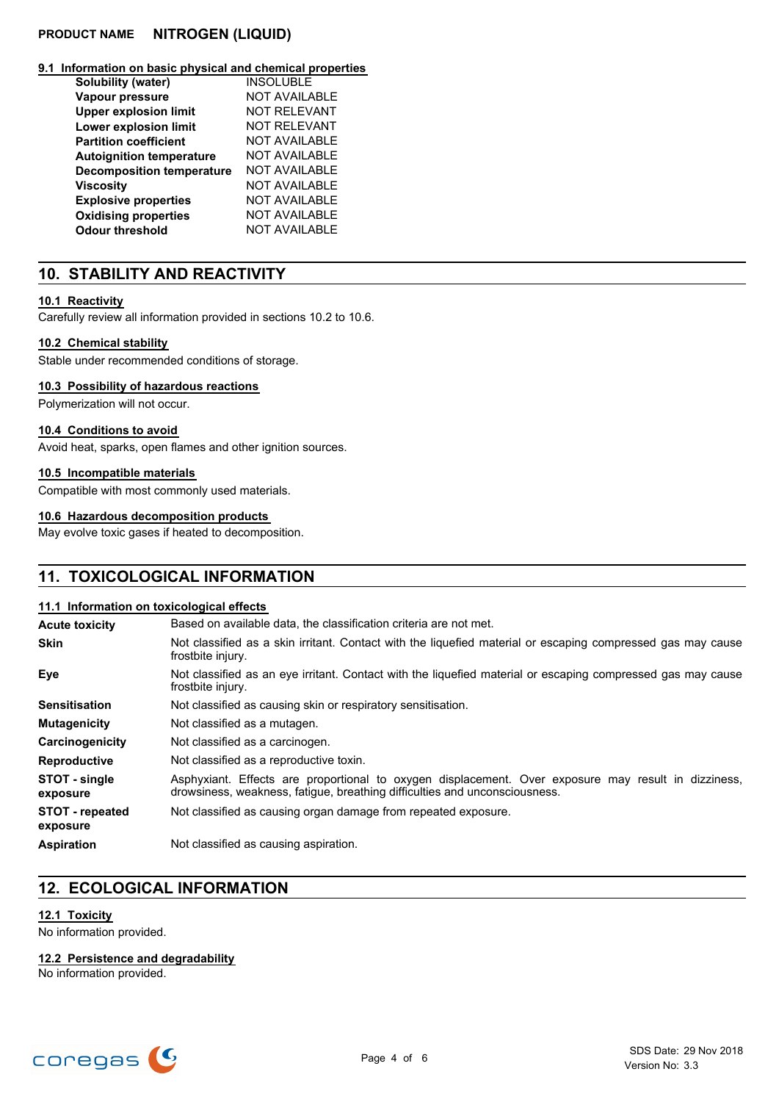## **PRODUCT NAME NITROGEN (LIQUID)**

#### **9.1 Information on basic physical and chemical properties**

| Solubility (water)               | <b>INSOLUBLE</b>     |
|----------------------------------|----------------------|
| Vapour pressure                  | <b>NOT AVAILABLE</b> |
| <b>Upper explosion limit</b>     | <b>NOT RELEVANT</b>  |
| Lower explosion limit            | <b>NOT RELEVANT</b>  |
| <b>Partition coefficient</b>     | <b>NOT AVAILABLE</b> |
| <b>Autoignition temperature</b>  | NOT AVAILABLE        |
| <b>Decomposition temperature</b> | NOT AVAILABLE        |
| <b>Viscosity</b>                 | <b>NOT AVAILABLE</b> |
| <b>Explosive properties</b>      | <b>NOT AVAILABLE</b> |
| <b>Oxidising properties</b>      | <b>NOT AVAILABLE</b> |
| <b>Odour threshold</b>           | <b>NOT AVAILABLE</b> |

## **10. STABILITY AND REACTIVITY**

#### **10.1 Reactivity**

Carefully review all information provided in sections 10.2 to 10.6.

### **10.2 Chemical stability**

Stable under recommended conditions of storage.

#### **10.3 Possibility of hazardous reactions**

Polymerization will not occur.

#### **10.4 Conditions to avoid**

Avoid heat, sparks, open flames and other ignition sources.

#### **10.5 Incompatible materials**

Compatible with most commonly used materials.

### **10.6 Hazardous decomposition products**

May evolve toxic gases if heated to decomposition.

## **11. TOXICOLOGICAL INFORMATION**

#### **11.1 Information on toxicological effects**

| <b>Acute toxicity</b>              | Based on available data, the classification criteria are not met.                                                                                                                 |
|------------------------------------|-----------------------------------------------------------------------------------------------------------------------------------------------------------------------------------|
| <b>Skin</b>                        | Not classified as a skin irritant. Contact with the liquefied material or escaping compressed gas may cause<br>frostbite injury.                                                  |
| Eye                                | Not classified as an eye irritant. Contact with the liquefied material or escaping compressed gas may cause<br>frostbite injury.                                                  |
| <b>Sensitisation</b>               | Not classified as causing skin or respiratory sensitisation.                                                                                                                      |
| <b>Mutagenicity</b>                | Not classified as a mutagen.                                                                                                                                                      |
| Carcinogenicity                    | Not classified as a carcinogen.                                                                                                                                                   |
| <b>Reproductive</b>                | Not classified as a reproductive toxin.                                                                                                                                           |
| STOT - single<br>exposure          | Asphyxiant. Effects are proportional to oxygen displacement. Over exposure may result in dizziness,<br>drowsiness, weakness, fatique, breathing difficulties and unconsciousness. |
| <b>STOT</b> - repeated<br>exposure | Not classified as causing organ damage from repeated exposure.                                                                                                                    |
| <b>Aspiration</b>                  | Not classified as causing aspiration.                                                                                                                                             |

# **12. ECOLOGICAL INFORMATION**

# **12.1 Toxicity**

No information provided.

### **12.2 Persistence and degradability**

No information provided.

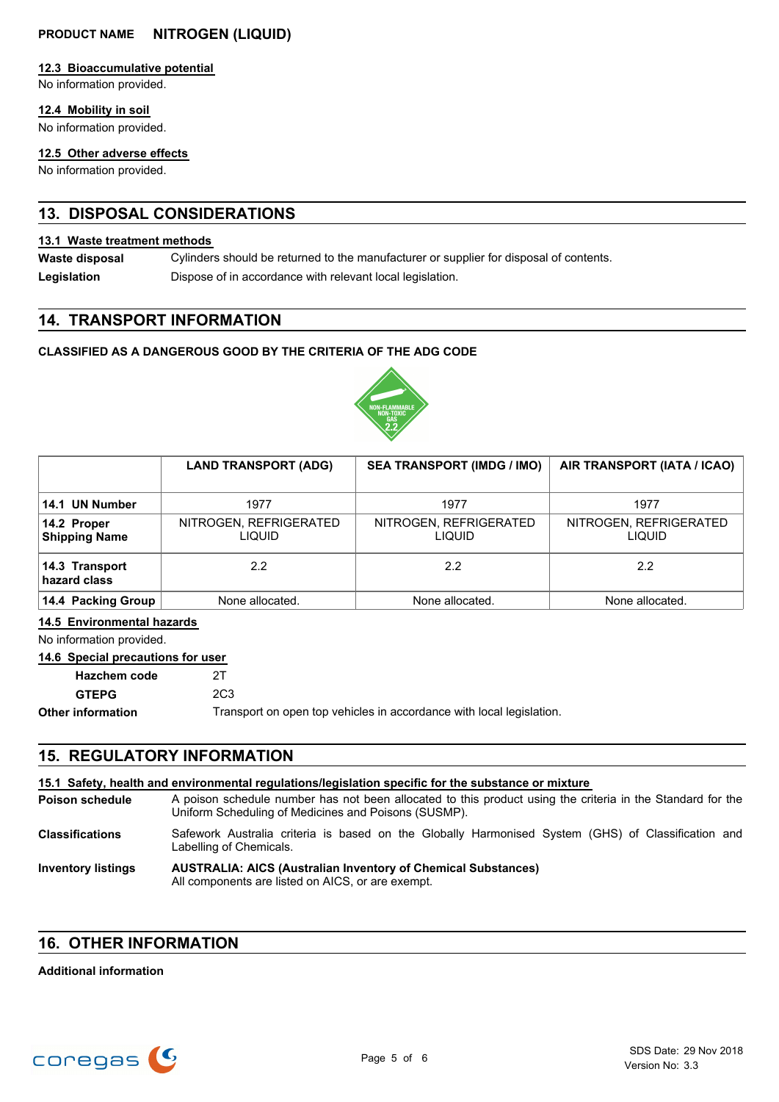## **12.3 Bioaccumulative potential**

No information provided.

## **12.4 Mobility in soil**

No information provided.

### **12.5 Other adverse effects**

No information provided.

# **13. DISPOSAL CONSIDERATIONS**

### **13.1 Waste treatment methods**

Cylinders should be returned to the manufacturer or supplier for disposal of contents. **Waste disposal** Legislation **Dispose of in accordance with relevant local legislation.** 

## **14. TRANSPORT INFORMATION**

## **CLASSIFIED AS A DANGEROUS GOOD BY THE CRITERIA OF THE ADG CODE**



|                                     | <b>LAND TRANSPORT (ADG)</b>       | <b>SEA TRANSPORT (IMDG / IMO)</b> | AIR TRANSPORT (IATA / ICAO)      |
|-------------------------------------|-----------------------------------|-----------------------------------|----------------------------------|
|                                     |                                   |                                   |                                  |
| 14.1 UN Number                      | 1977                              | 1977                              | 1977                             |
| 14.2 Proper<br><b>Shipping Name</b> | NITROGEN, REFRIGERATED<br>LIQUID. | NITROGEN, REFRIGERATED<br>Liquid  | NITROGEN, REFRIGERATED<br>LIQUID |
| 14.3 Transport<br>hazard class      | $2.2^{\circ}$                     | 2.2                               | 2.2                              |
| 14.4 Packing Group                  | None allocated.                   | None allocated.                   | None allocated.                  |

## **14.5 Environmental hazards**

No information provided.

## **14.6 Special precautions for user**

| Hazchem code             | 2T              |
|--------------------------|-----------------|
| <b>GTEPG</b>             | 2C <sub>3</sub> |
| <b>Other information</b> | Transport       |

on open top vehicles in accordance with local legislation.

# **15. REGULATORY INFORMATION**

|                           | 15.1 Safety, health and environmental regulations/legislation specific for the substance or mixture                                                                |
|---------------------------|--------------------------------------------------------------------------------------------------------------------------------------------------------------------|
| <b>Poison schedule</b>    | A poison schedule number has not been allocated to this product using the criteria in the Standard for the<br>Uniform Scheduling of Medicines and Poisons (SUSMP). |
| <b>Classifications</b>    | Safework Australia criteria is based on the Globally Harmonised System (GHS) of Classification and<br>Labelling of Chemicals.                                      |
| <b>Inventory listings</b> | <b>AUSTRALIA: AICS (Australian Inventory of Chemical Substances)</b><br>All components are listed on AICS, or are exempt.                                          |

## **16. OTHER INFORMATION**

## **Additional information**